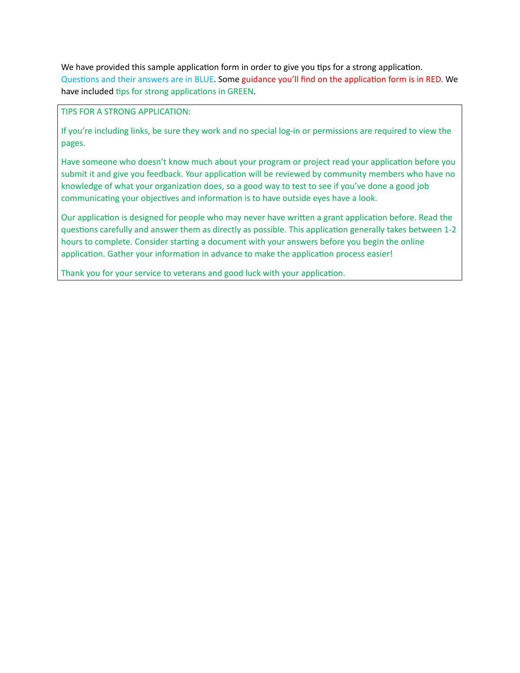We have provided this sample application form in order to give you tips for a strong application. Questions and their answers are in BLUE. Some guidance you'll find on the application form is in RED. We have included tips for strong applications in GREEN.

TIPS FOR A STRONG APPLICATION:

If you're including links, be sure they work and no special log-in or permissions are required to view the pages.

Have someone who doesn't know much about your program or project read your application before you submit it and give you feedback. Your application will be reviewed by community members who have no knowledge of what your organization does, so a good way to test to see if you've done a good job communicating your objectives and information is to have outside eyes have a look.

Our application is designed for people who may never have written a grant application before. Read the questions carefully and answer them as directly as possible. This application generally takes between 1-2 hours to complete. Consider starting a document with your answers before you begin the online application. Gather your information in advance to make the application process easier!

Thank you for your service to veterans and good luck with your application.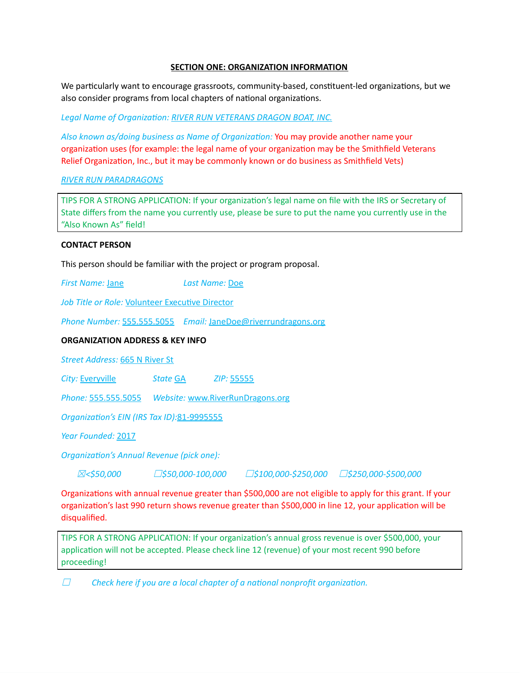## **SECTION ONE: ORGANIZATION INFORMATION**

We particularly want to encourage grassroots, community-based, constituent-led organizations, but we also consider programs from local chapters of national organizations.

*Legal Name of Organization: RIVER RUN VETERANS DRAGON BOAT, INC.*

*Also known as/doing business as Name of Organization:* You may provide another name your organization uses (for example: the legal name of your organization may be the Smithfield Veterans Relief Organization, Inc., but it may be commonly known or do business as Smithfield Vets)

# *RIVER RUN PARADRAGONS*

TIPS FOR A STRONG APPLICATION: If your organization's legal name on file with the IRS or Secretary of State differs from the name you currently use, please be sure to put the name you currently use in the "Also Known As" field!

## **CONTACT PERSON**

This person should be familiar with the project or program proposal.

*First Name:* Jane *Last Name:* Doe

*Job Title or Role:* Volunteer Executive Director

*Phone Number:* 555.555.5055 *Email:* JaneDoe@riverrundragons.org

# **ORGANIZATION ADDRESS & KEY INFO**

*Street Address:* 665 N River St

*City:* Everyville *State* GA *ZIP:* 55555

*Phone:* 555.555.5055 *Website:* www.RiverRunDragons.org

*Organization's EIN (IRS Tax ID):*81-9995555

*Year Founded:* 2017

*Organization's Annual Revenue (pick one):*

☒*<\$50,000* ☐*\$50,000-100,000* ☐*\$100,000-\$250,000* ☐*\$250,000-\$500,000*

Organizations with annual revenue greater than \$500,000 are not eligible to apply for this grant. If your organization's last 990 return shows revenue greater than \$500,000 in line 12, your application will be disqualified.

TIPS FOR A STRONG APPLICATION: If your organization's annual gross revenue is over \$500,000, your application will not be accepted. Please check line 12 (revenue) of your most recent 990 before proceeding!

☐ *Check here if you are a local chapter of a national nonprofit organization.*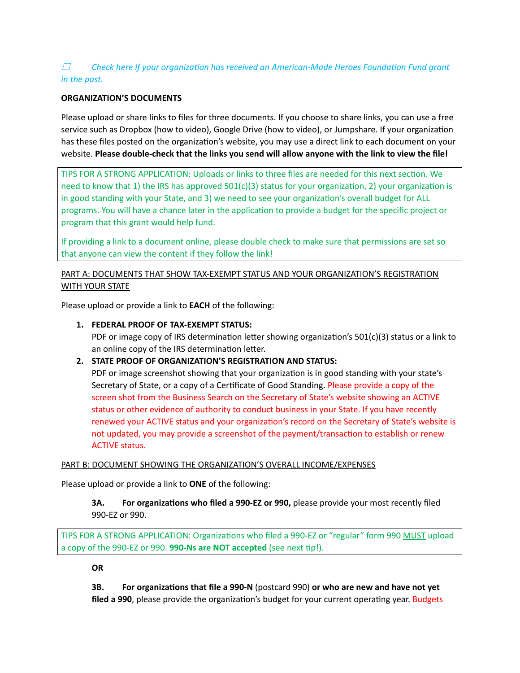# ☐ *Check here if your organization has received an American-Made Heroes Foundation Fund grant in the past.*

# **ORGANIZATION'S DOCUMENTS**

Please upload or share links to files for three documents. If you choose to share links, you can use a free service such as Dropbox (how to video), Google Drive (how to video), or Jumpshare. If your organization has these files posted on the organization's website, you may use a direct link to each document on your website. **Please double-check that the links you send will allow anyone with the link to view the file!**

TIPS FOR A STRONG APPLICATION: Uploads or links to three files are needed for this next section. We need to know that 1) the IRS has approved  $501(c)(3)$  status for your organization, 2) your organization is in good standing with your State, and 3) we need to see your organization's overall budget for ALL programs. You will have a chance later in the application to provide a budget for the specific project or program that this grant would help fund.

If providing a link to a document online, please double check to make sure that permissions are set so that anyone can view the content if they follow the link!

# PART A: DOCUMENTS THAT SHOW TAX-EXEMPT STATUS AND YOUR ORGANIZATION'S REGISTRATION WITH YOUR STATE

Please upload or provide a link to **EACH** of the following:

# **1. FEDERAL PROOF OF TAX-EXEMPT STATUS:**

PDF or image copy of IRS determination letter showing organization's 501(c)(3) status or a link to an online copy of the IRS determination letter.

## **2. STATE PROOF OF ORGANIZATION'S REGISTRATION AND STATUS:**

PDF or image screenshot showing that your organization is in good standing with your state's Secretary of State, or a copy of a Certificate of Good Standing. Please provide a copy of the screen shot from the Business Search on the Secretary of State's website showing an ACTIVE status or other evidence of authority to conduct business in your State. If you have recently renewed your ACTIVE status and your organization's record on the Secretary of State's website is not updated, you may provide a screenshot of the payment/transaction to establish or renew ACTIVE status.

## PART B: DOCUMENT SHOWING THE ORGANIZATION'S OVERALL INCOME/EXPENSES

Please upload or provide a link to **ONE** of the following:

# **3A. For organizations who filed a 990-EZ or 990,** please provide your most recently filed 990-EZ or 990.

TIPS FOR A STRONG APPLICATION: Organizations who filed a 990-EZ or "regular" form 990 MUST upload a copy of the 990-EZ or 990. **990-Ns are NOT accepted** (see next tip!).

## **OR**

**3B. For organizations that file a 990-N** (postcard 990) **or who are new and have not yet filed a 990**, please provide the organization's budget for your current operating year. Budgets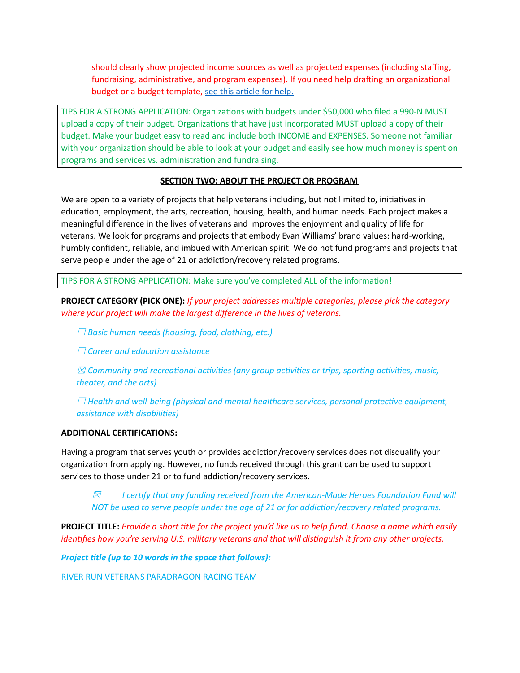should clearly show projected income sources as well as projected expenses (including staffing, fundraising, administrative, and program expenses). If you need help drafting an organizational budget or a budget template, see this [article](https://www.jitasagroup.com/jitasa_nonprofit_blog/nonprofit-budgeting-understand-the-basics/) for help.

TIPS FOR A STRONG APPLICATION: Organizations with budgets under \$50,000 who filed a 990-N MUST upload a copy of their budget. Organizations that have just incorporated MUST upload a copy of their budget. Make your budget easy to read and include both INCOME and EXPENSES. Someone not familiar with your organization should be able to look at your budget and easily see how much money is spent on programs and services vs. administration and fundraising.

## **SECTION TWO: ABOUT THE PROJECT OR PROGRAM**

We are open to a variety of projects that help veterans including, but not limited to, initiatives in education, employment, the arts, recreation, housing, health, and human needs. Each project makes a meaningful difference in the lives of veterans and improves the enjoyment and quality of life for veterans. We look for programs and projects that embody Evan Williams' brand values: hard-working, humbly confident, reliable, and imbued with American spirit. We do not fund programs and projects that serve people under the age of 21 or addiction/recovery related programs.

TIPS FOR A STRONG APPLICATION: Make sure you've completed ALL of the information!

**PROJECT CATEGORY (PICK ONE):** *If your project addresses multiple categories, please pick the category where your project will make the largest difference in the lives of veterans.*

☐ *Basic human needs (housing, food, clothing, etc.)*

☐ *Career and education assistance*

☒ *Community and recreational activities (any group activities or trips, sporting activities, music, theater, and the arts)*

☐ *Health and well-being (physical and mental healthcare services, personal protective equipment, assistance with disabilities)*

#### **ADDITIONAL CERTIFICATIONS:**

Having a program that serves youth or provides addiction/recovery services does not disqualify your organization from applying. However, no funds received through this grant can be used to support services to those under 21 or to fund addiction/recovery services.

☒ *I certify that any funding received from the American-Made Heroes Foundation Fund will NOT be used to serve people under the age of 21 or for addiction/recovery related programs.*

**PROJECT TITLE:** Provide a short title for the project you'd like us to help fund. Choose a name which easily *identifies how you're serving U.S. military veterans and that will distinguish it from any other projects.*

*Project title (up to 10 words in the space that follows):*

RIVER RUN VETERANS PARADRAGON RACING TEAM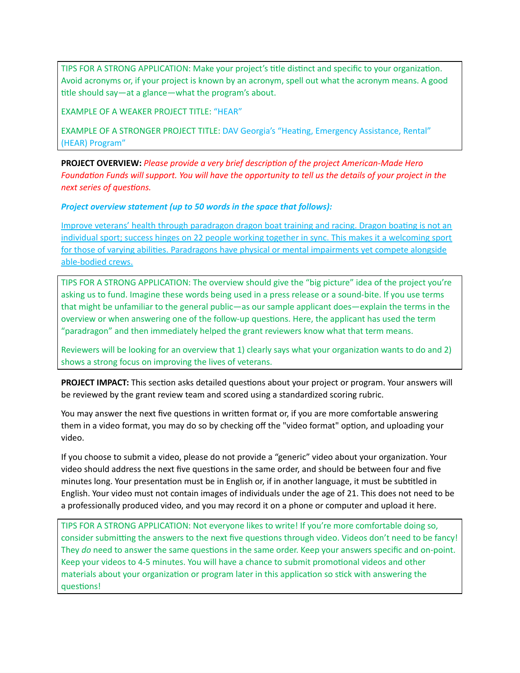TIPS FOR A STRONG APPLICATION: Make your project's title distinct and specific to your organization. Avoid acronyms or, if your project is known by an acronym, spell out what the acronym means. A good title should say—at a glance—what the program's about.

EXAMPLE OF A WEAKER PROJECT TITLE: "HEAR"

EXAMPLE OF A STRONGER PROJECT TITLE: DAV Georgia's "Heating, Emergency Assistance, Rental" (HEAR) Program"

**PROJECT OVERVIEW:** *Please provide a very brief description of the project American-Made Hero* Foundation Funds will support. You will have the opportunity to tell us the details of your project in the *next series of questions.*

*Project overview statement (up to 50 words in the space that follows):*

Improve veterans' health through paradragon dragon boat training and racing. Dragon boating is not an individual sport; success hinges on 22 people working together in sync. This makes it a welcoming sport for those of varying abilities. Paradragons have physical or mental impairments yet compete alongside able-bodied crews.

TIPS FOR A STRONG APPLICATION: The overview should give the "big picture" idea of the project you're asking us to fund. Imagine these words being used in a press release or a sound-bite. If you use terms that might be unfamiliar to the general public—as our sample applicant does—explain the terms in the overview or when answering one of the follow-up questions. Here, the applicant has used the term "paradragon" and then immediately helped the grant reviewers know what that term means.

Reviewers will be looking for an overview that 1) clearly says what your organization wants to do and 2) shows a strong focus on improving the lives of veterans.

**PROJECT IMPACT:** This section asks detailed questions about your project or program. Your answers will be reviewed by the grant review team and scored using a standardized scoring rubric.

You may answer the next five questions in written format or, if you are more comfortable answering them in a video format, you may do so by checking off the "video format" option, and uploading your video.

If you choose to submit a video, please do not provide a "generic" video about your organization. Your video should address the next five questions in the same order, and should be between four and five minutes long. Your presentation must be in English or, if in another language, it must be subtitled in English. Your video must not contain images of individuals under the age of 21. This does not need to be a professionally produced video, and you may record it on a phone or computer and upload it here.

TIPS FOR A STRONG APPLICATION: Not everyone likes to write! If you're more comfortable doing so, consider submitting the answers to the next five questions through video. Videos don't need to be fancy! They *do* need to answer the same questions in the same order. Keep your answers specific and on-point. Keep your videos to 4-5 minutes. You will have a chance to submit promotional videos and other materials about your organization or program later in this application so stick with answering the questions!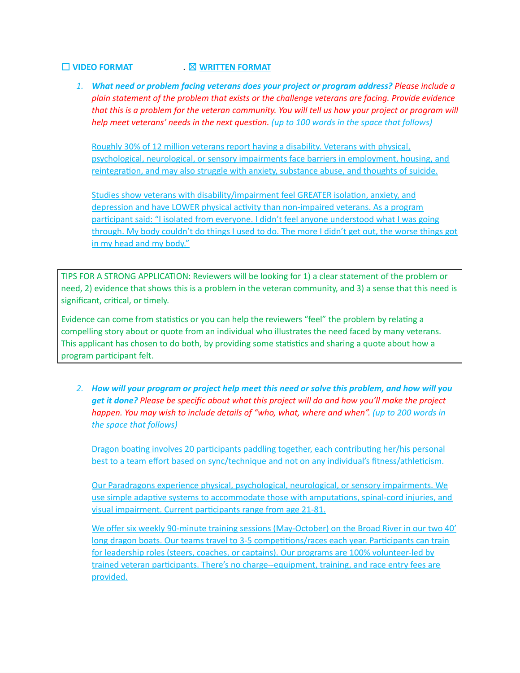# ☐ **VIDEO FORMAT** *.* ☒ **WRITTEN FORMAT**

*1. What need or problem facing veterans does your project or program address? Please include a plain statement of the problem that exists or the challenge veterans are facing. Provide evidence* that this is a problem for the veteran community. You will tell us how your project or program will *help meet veterans' needs in the next question. (up to 100 words in the space that follows)*

Roughly 30% of 12 million veterans report having a disability. Veterans with physical, psychological, neurological, or sensory impairments face barriers in employment, housing, and reintegration, and may also struggle with anxiety, substance abuse, and thoughts of suicide.

Studies show veterans with disability/impairment feel GREATER isolation, anxiety, and depression and have LOWER physical activity than non-impaired veterans. As a program participant said: "I isolated from everyone. I didn't feel anyone understood what I was going through. My body couldn't do things I used to do. The more I didn't get out, the worse things got in my head and my body."

TIPS FOR A STRONG APPLICATION: Reviewers will be looking for 1) a clear statement of the problem or need, 2) evidence that shows this is a problem in the veteran community, and 3) a sense that this need is significant, critical, or timely.

Evidence can come from statistics or you can help the reviewers "feel" the problem by relating a compelling story about or quote from an individual who illustrates the need faced by many veterans. This applicant has chosen to do both, by providing some statistics and sharing a quote about how a program participant felt.

2. How will your program or project help meet this need or solve this problem, and how will you *get it done? Please be specific about what this project will do and how you'll make the project happen. You may wish to include details of "who, what, where and when". (up to 200 words in the space that follows)*

Dragon boating involves 20 participants paddling together, each contributing her/his personal best to a team effort based on sync/technique and not on any individual's fitness/athleticism.

Our Paradragons experience physical, psychological, neurological, or sensory impairments. We use simple adaptive systems to accommodate those with amputations, spinal-cord injuries, and visual impairment. Current participants range from age 21-81.

We offer six weekly 90-minute training sessions (May-October) on the Broad River in our two 40' long dragon boats. Our teams travel to 3-5 competitions/races each year. Participants can train for leadership roles (steers, coaches, or captains). Our programs are 100% volunteer-led by trained veteran participants. There's no charge--equipment, training, and race entry fees are provided.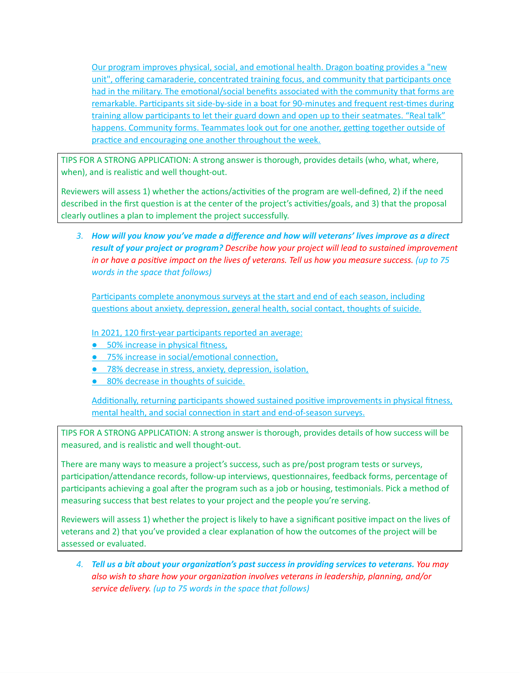Our program improves physical, social, and emotional health. Dragon boating provides a "new unit", offering camaraderie, concentrated training focus, and community that participants once had in the military. The emotional/social benefits associated with the community that forms are remarkable. Participants sit side-by-side in a boat for 90-minutes and frequent rest-times during training allow participants to let their guard down and open up to their seatmates. "Real talk" happens. Community forms. Teammates look out for one another, getting together outside of practice and encouraging one another throughout the week.

TIPS FOR A STRONG APPLICATION: A strong answer is thorough, provides details (who, what, where, when), and is realistic and well thought-out.

Reviewers will assess 1) whether the actions/activities of the program are well-defined, 2) if the need described in the first question is at the center of the project's activities/goals, and 3) that the proposal clearly outlines a plan to implement the project successfully.

*3. How will you know you've made a difference and how will veterans' lives improve as a direct result of your project or program? Describe how your project will lead to sustained improvement* in or have a positive impact on the lives of veterans. Tell us how you measure success. (up to  $75$ *words in the space that follows)*

Participants complete anonymous surveys at the start and end of each season, including questions about anxiety, depression, general health, social contact, thoughts of suicide.

In 2021, 120 first-year participants reported an average:

- 50% increase in physical fitness,
- 75% increase in social/emotional connection,
- 78% decrease in stress, anxiety, depression, isolation,
- 80% decrease in thoughts of suicide.

Additionally, returning participants showed sustained positive improvements in physical fitness, mental health, and social connection in start and end-of-season surveys.

TIPS FOR A STRONG APPLICATION: A strong answer is thorough, provides details of how success will be measured, and is realistic and well thought-out.

There are many ways to measure a project's success, such as pre/post program tests or surveys, participation/attendance records, follow-up interviews, questionnaires, feedback forms, percentage of participants achieving a goal after the program such as a job or housing, testimonials. Pick a method of measuring success that best relates to your project and the people you're serving.

Reviewers will assess 1) whether the project is likely to have a significant positive impact on the lives of veterans and 2) that you've provided a clear explanation of how the outcomes of the project will be assessed or evaluated.

*4. Tell us a bit about your organization's past success in providing services to veterans. You may also wish to share how your organization involves veterans in leadership, planning, and/or service delivery. (up to 75 words in the space that follows)*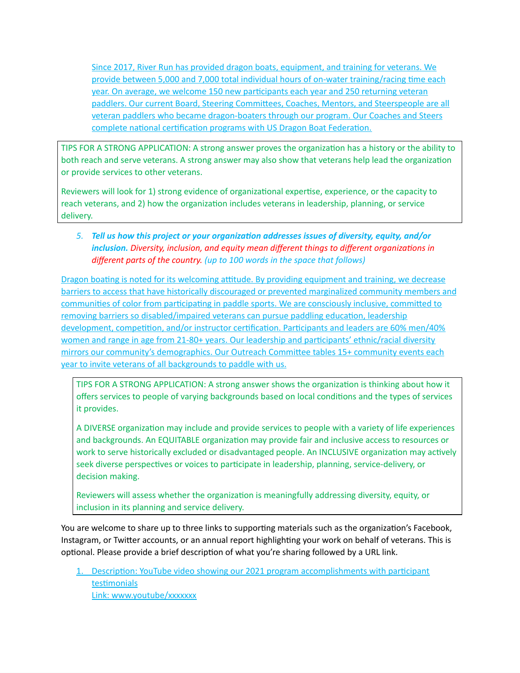Since 2017, River Run has provided dragon boats, equipment, and training for veterans. We provide between 5,000 and 7,000 total individual hours of on-water training/racing time each year. On average, we welcome 150 new participants each year and 250 returning veteran paddlers. Our current Board, Steering Committees, Coaches, Mentors, and Steerspeople are all veteran paddlers who became dragon-boaters through our program. Our Coaches and Steers complete national certification programs with US Dragon Boat Federation.

TIPS FOR A STRONG APPLICATION: A strong answer proves the organization has a history or the ability to both reach and serve veterans. A strong answer may also show that veterans help lead the organization or provide services to other veterans.

Reviewers will look for 1) strong evidence of organizational expertise, experience, or the capacity to reach veterans, and 2) how the organization includes veterans in leadership, planning, or service delivery.

# *5. Tell us how this project or your organization addresses issues of diversity, equity, and/or inclusion. Diversity, inclusion, and equity mean different things to different organizations in different parts of the country. (up to 100 words in the space that follows)*

Dragon boating is noted for its welcoming attitude. By providing equipment and training, we decrease barriers to access that have historically discouraged or prevented marginalized community members and communities of color from participating in paddle sports. We are consciously inclusive, committed to removing barriers so disabled/impaired veterans can pursue paddling education, leadership development, competition, and/or instructor certification. Participants and leaders are 60% men/40% women and range in age from 21-80+ years. Our leadership and participants' ethnic/racial diversity mirrors our community's demographics. Our Outreach Committee tables 15+ community events each year to invite veterans of all backgrounds to paddle with us.

TIPS FOR A STRONG APPLICATION: A strong answer shows the organization is thinking about how it offers services to people of varying backgrounds based on local conditions and the types of services it provides.

A DIVERSE organization may include and provide services to people with a variety of life experiences and backgrounds. An EQUITABLE organization may provide fair and inclusive access to resources or work to serve historically excluded or disadvantaged people. An INCLUSIVE organization may actively seek diverse perspectives or voices to participate in leadership, planning, service-delivery, or decision making.

Reviewers will assess whether the organization is meaningfully addressing diversity, equity, or inclusion in its planning and service delivery.

You are welcome to share up to three links to supporting materials such as the organization's Facebook, Instagram, or Twitter accounts, or an annual report highlighting your work on behalf of veterans. This is optional. Please provide a brief description of what you're sharing followed by a URL link.

1. Description: YouTube video showing our 2021 program accomplishments with participant testimonials Link: www.youtube/xxxxxxx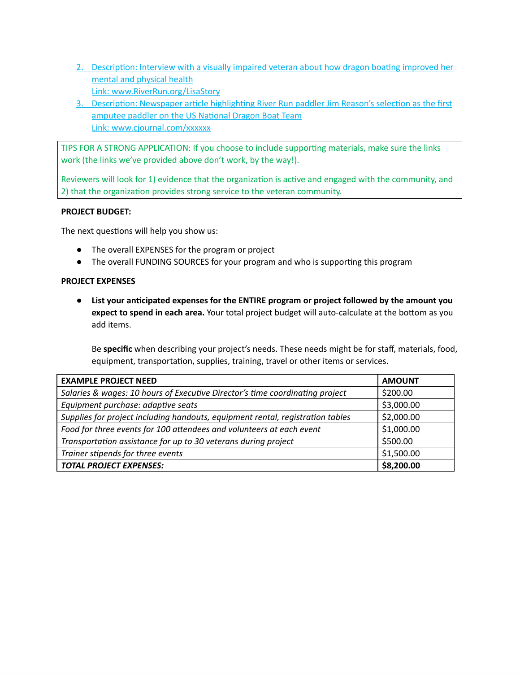- 2. Description: Interview with a visually impaired veteran about how dragon boating improved her mental and physical health Link: www.RiverRun.org/LisaStory
- 3. Description: Newspaper article highlighting River Run paddler Jim Reason's selection as the first amputee paddler on the US National Dragon Boat Team Link: www.cjournal.com/xxxxxx

TIPS FOR A STRONG APPLICATION: If you choose to include supporting materials, make sure the links work (the links we've provided above don't work, by the way!).

Reviewers will look for 1) evidence that the organization is active and engaged with the community, and 2) that the organization provides strong service to the veteran community.

## **PROJECT BUDGET:**

The next questions will help you show us:

- **●** The overall EXPENSES for the program or project
- **●** The overall FUNDING SOURCES for your program and who is supporting this program

# **PROJECT EXPENSES**

**● List your anticipated expenses for the ENTIRE program or project followed by the amount you expect to spend in each area.** Your total project budget will auto-calculate at the bottom as you add items.

Be **specific** when describing your project's needs. These needs might be for staff, materials, food, equipment, transportation, supplies, training, travel or other items or services.

| <b>EXAMPLE PROJECT NEED</b>                                                    | <b>AMOUNT</b> |
|--------------------------------------------------------------------------------|---------------|
| Salaries & wages: 10 hours of Executive Director's time coordinating project   | \$200.00      |
| Equipment purchase: adaptive seats                                             | \$3,000.00    |
| Supplies for project including handouts, equipment rental, registration tables | \$2,000.00    |
| Food for three events for 100 attendees and volunteers at each event           | \$1,000.00    |
| Transportation assistance for up to 30 veterans during project                 | \$500.00      |
| Trainer stipends for three events                                              | \$1,500.00    |
| <b>TOTAL PROJECT EXPENSES:</b>                                                 | \$8,200.00    |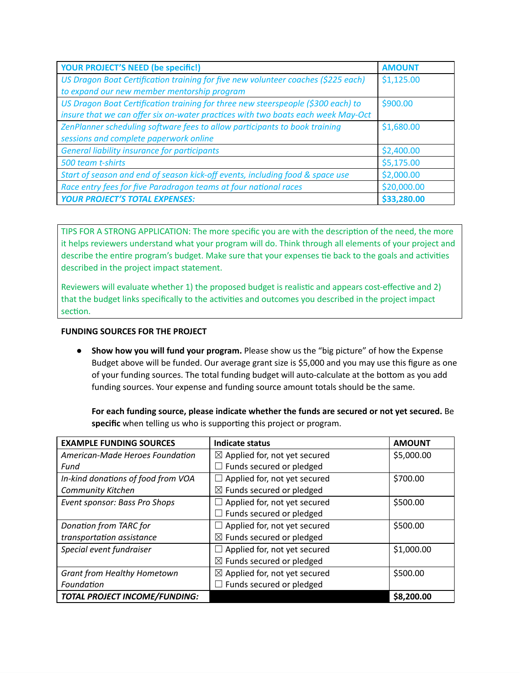| <b>YOUR PROJECT'S NEED (be specific!)</b>                                         | <b>AMOUNT</b> |
|-----------------------------------------------------------------------------------|---------------|
| US Dragon Boat Certification training for five new volunteer coaches (\$225 each) | \$1,125.00    |
| to expand our new member mentorship program                                       |               |
| US Dragon Boat Certification training for three new steerspeople (\$300 each) to  | \$900.00      |
| insure that we can offer six on-water practices with two boats each week May-Oct  |               |
| ZenPlanner scheduling software fees to allow participants to book training        | \$1,680.00    |
| sessions and complete paperwork online                                            |               |
| <b>General liability insurance for participants</b>                               | \$2,400.00    |
| 500 team t-shirts                                                                 | \$5,175.00    |
| Start of season and end of season kick-off events, including food & space use     | \$2,000.00    |
| Race entry fees for five Paradragon teams at four national races                  | \$20,000.00   |
| <b>YOUR PROJECT'S TOTAL EXPENSES:</b>                                             | \$33,280.00   |

TIPS FOR A STRONG APPLICATION: The more specific you are with the description of the need, the more it helps reviewers understand what your program will do. Think through all elements of your project and describe the entire program's budget. Make sure that your expenses tie back to the goals and activities described in the project impact statement.

Reviewers will evaluate whether 1) the proposed budget is realistic and appears cost-effective and 2) that the budget links specifically to the activities and outcomes you described in the project impact section.

# **FUNDING SOURCES FOR THE PROJECT**

**● Show how you will fund your program.** Please show us the "big picture" of how the Expense Budget above will be funded. Our average grant size is \$5,000 and you may use this figure as one of your funding sources. The total funding budget will auto-calculate at the bottom as you add funding sources. Your expense and funding source amount totals should be the same.

**For each funding source, please indicate whether the funds are secured or not yet secured.** Be **specific** when telling us who is supporting this project or program.

| <b>EXAMPLE FUNDING SOURCES</b>     | Indicate status                          | <b>AMOUNT</b> |
|------------------------------------|------------------------------------------|---------------|
| American-Made Heroes Foundation    | $\boxtimes$ Applied for, not yet secured | \$5,000.00    |
| Fund                               | Funds secured or pledged                 |               |
| In-kind donations of food from VOA | Applied for, not yet secured             | \$700.00      |
| <b>Community Kitchen</b>           | $\boxtimes$ Funds secured or pledged     |               |
| Event sponsor: Bass Pro Shops      | Applied for, not yet secured             | \$500.00      |
|                                    | Funds secured or pledged                 |               |
| Donation from TARC for             | Applied for, not yet secured             | \$500.00      |
| transportation assistance          | $\boxtimes$ Funds secured or pledged     |               |
| Special event fundraiser           | Applied for, not yet secured             | \$1,000.00    |
|                                    | $\boxtimes$ Funds secured or pledged     |               |
| <b>Grant from Healthy Hometown</b> | $\boxtimes$ Applied for, not yet secured | \$500.00      |
| Foundation                         | $\Box$ Funds secured or pledged          |               |
| TOTAL PROJECT INCOME/FUNDING:      |                                          | \$8,200.00    |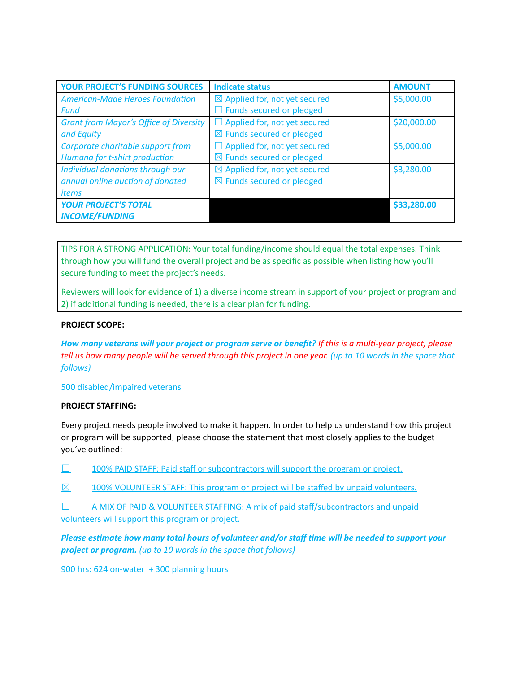| <b>YOUR PROJECT'S FUNDING SOURCES</b>         | <b>Indicate status</b>                   | <b>AMOUNT</b> |
|-----------------------------------------------|------------------------------------------|---------------|
| <b>American-Made Heroes Foundation</b>        | $\boxtimes$ Applied for, not yet secured | \$5,000.00    |
| <b>Fund</b>                                   | $\Box$ Funds secured or pledged          |               |
| <b>Grant from Mayor's Office of Diversity</b> | $\Box$ Applied for, not yet secured      | \$20,000.00   |
| and Equity                                    | $\boxtimes$ Funds secured or pledged     |               |
| Corporate charitable support from             | $\Box$ Applied for, not yet secured      | \$5,000.00    |
| Humana for t-shirt production                 | $\boxtimes$ Funds secured or pledged     |               |
| Individual donations through our              | $\boxtimes$ Applied for, not yet secured | \$3,280.00    |
| annual online auction of donated              | $\boxtimes$ Funds secured or pledged     |               |
| <i>items</i>                                  |                                          |               |
| <b>YOUR PROJECT'S TOTAL</b>                   |                                          | \$33,280.00   |
| <b>INCOME/FUNDING</b>                         |                                          |               |

TIPS FOR A STRONG APPLICATION: Your total funding/income should equal the total expenses. Think through how you will fund the overall project and be as specific as possible when listing how you'll secure funding to meet the project's needs.

Reviewers will look for evidence of 1) a diverse income stream in support of your project or program and 2) if additional funding is needed, there is a clear plan for funding.

# **PROJECT SCOPE:**

How many veterans will your project or program serve or benefit? If this is a multi-year project, please tell us how many people will be served through this project in one year. (up to 10 words in the space that *follows)*

500 disabled/impaired veterans

## **PROJECT STAFFING:**

Every project needs people involved to make it happen. In order to help us understand how this project or program will be supported, please choose the statement that most closely applies to the budget you've outlined:

- $\Box$  100% PAID STAFF: Paid staff or subcontractors will support the program or project.
- $\boxtimes$  100% VOLUNTEER STAFF: This program or project will be staffed by unpaid volunteers.

 $\Box$  A MIX OF PAID & VOLUNTEER STAFFING: A mix of paid staff/subcontractors and unpaid volunteers will support this program or project.

*Please estimate how many total hours of volunteer and/or staff time will be needed to support your project or program. (up to 10 words in the space that follows)*

900 hrs: 624 on-water + 300 planning hours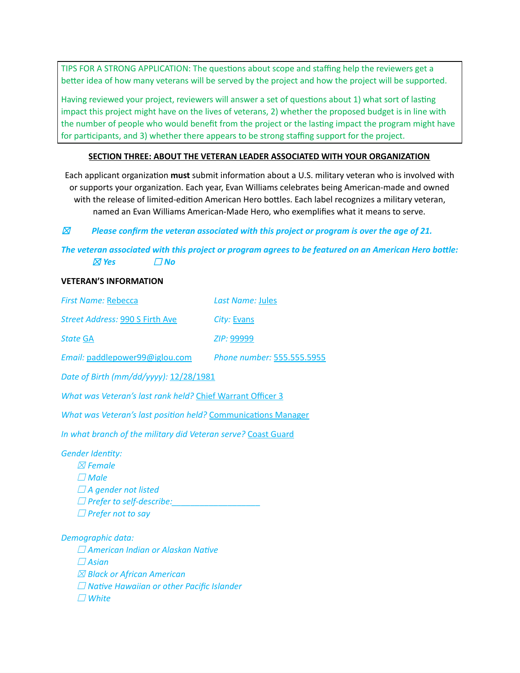TIPS FOR A STRONG APPLICATION: The questions about scope and staffing help the reviewers get a better idea of how many veterans will be served by the project and how the project will be supported.

Having reviewed your project, reviewers will answer a set of questions about 1) what sort of lasting impact this project might have on the lives of veterans, 2) whether the proposed budget is in line with the number of people who would benefit from the project or the lasting impact the program might have for participants, and 3) whether there appears to be strong staffing support for the project.

# **SECTION THREE: ABOUT THE VETERAN LEADER ASSOCIATED WITH YOUR ORGANIZATION**

Each applicant organization **must** submit information about a U.S. military veteran who is involved with or supports your organization. Each year, Evan Williams celebrates being American-made and owned with the release of limited-edition American Hero bottles. Each label recognizes a military veteran, named an Evan Williams American-Made Hero, who exemplifies what it means to serve.

# ☒ *Please confirm the veteran associated with this project or program is over the age of 21.*

# *The veteran associated with this project or program agrees to be featured on an American Hero bottle:*  $\boxtimes$  **Yes**  $\Box$  **No**

## **VETERAN'S INFORMATION**

| First Name: Rebecca                                                                                                                                                                             | Last Name: Jules           |  |  |  |
|-------------------------------------------------------------------------------------------------------------------------------------------------------------------------------------------------|----------------------------|--|--|--|
| Street Address: 990 S Firth Ave                                                                                                                                                                 | City: Evans                |  |  |  |
| <b>State GA</b>                                                                                                                                                                                 | ZIP: 99999                 |  |  |  |
| Email: paddlepower99@iglou.com                                                                                                                                                                  | Phone number: 555.555.5955 |  |  |  |
| Date of Birth (mm/dd/yyyy): 12/28/1981                                                                                                                                                          |                            |  |  |  |
| What was Veteran's last rank held? Chief Warrant Officer 3                                                                                                                                      |                            |  |  |  |
| What was Veteran's last position held? Communications Manager                                                                                                                                   |                            |  |  |  |
| In what branch of the military did Veteran serve? Coast Guard                                                                                                                                   |                            |  |  |  |
| <b>Gender Identity:</b><br>$\boxtimes$ Female<br>$\Box$ Male<br>$\Box$ A gender not listed<br>$\Box$ Prefer to self-describe:<br>$\Box$ Prefer not to say                                       |                            |  |  |  |
| Demographic data:<br>$\Box$ American Indian or Alaskan Native<br>$\Box$ Asian<br>$\boxtimes$ Black or African American<br>$\Box$ Native Hawaiian or other Pacific Islander<br>$\sqsupset$ White |                            |  |  |  |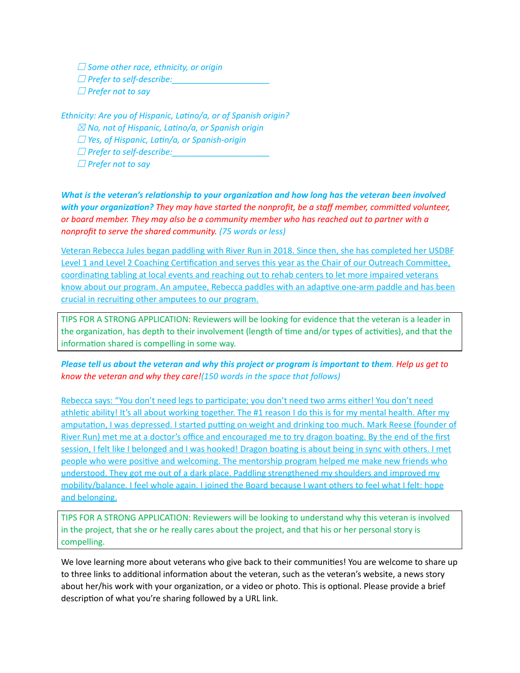☐ *Some other race, ethnicity, or origin* ☐ *Prefer to self-describe:\_\_\_\_\_\_\_\_\_\_\_\_\_\_\_\_\_\_\_\_\_* ☐ *Prefer not to say*

*Ethnicity: Are you of Hispanic, Latino/a, or of Spanish origin?* ☒ *No, not of Hispanic, Latino/a, or Spanish origin* ☐ *Yes, of Hispanic, Latin/a, or Spanish-origin*  $\square$  Prefer to self-describe: ☐ *Prefer not to say*

*What is the veteran's relationship to your organization and how long has the veteran been involved with your organization? They may have started the nonprofit, be a staff member, committed volunteer, or board member. They may also be a community member who has reached out to partner with a nonprofit to serve the shared community. (75 words or less)*

Veteran Rebecca Jules began paddling with River Run in 2018. Since then, she has completed her USDBF Level 1 and Level 2 Coaching Certification and serves this year as the Chair of our Outreach Committee, coordinating tabling at local events and reaching out to rehab centers to let more impaired veterans know about our program. An amputee, Rebecca paddles with an adaptive one-arm paddle and has been crucial in recruiting other amputees to our program.

TIPS FOR A STRONG APPLICATION: Reviewers will be looking for evidence that the veteran is a leader in the organization, has depth to their involvement (length of time and/or types of activities), and that the information shared is compelling in some way.

Please tell us about the veteran and why this project or program is important to them. Help us get to *know the veteran and why they care!(150 words in the space that follows)*

Rebecca says: "You don't need legs to participate; you don't need two arms either! You don't need athletic ability! It's all about working together. The #1 reason I do this is for my mental health. After my amputation, I was depressed. I started putting on weight and drinking too much. Mark Reese (founder of River Run) met me at a doctor's office and encouraged me to try dragon boating. By the end of the first session, I felt like I belonged and I was hooked! Dragon boating is about being in sync with others. I met people who were positive and welcoming. The mentorship program helped me make new friends who understood. They got me out of a dark place. Paddling strengthened my shoulders and improved my mobility/balance. I feel whole again. I joined the Board because I want others to feel what I felt: hope and belonging.

TIPS FOR A STRONG APPLICATION: Reviewers will be looking to understand why this veteran is involved in the project, that she or he really cares about the project, and that his or her personal story is compelling.

We love learning more about veterans who give back to their communities! You are welcome to share up to three links to additional information about the veteran, such as the veteran's website, a news story about her/his work with your organization, or a video or photo. This is optional. Please provide a brief description of what you're sharing followed by a URL link.